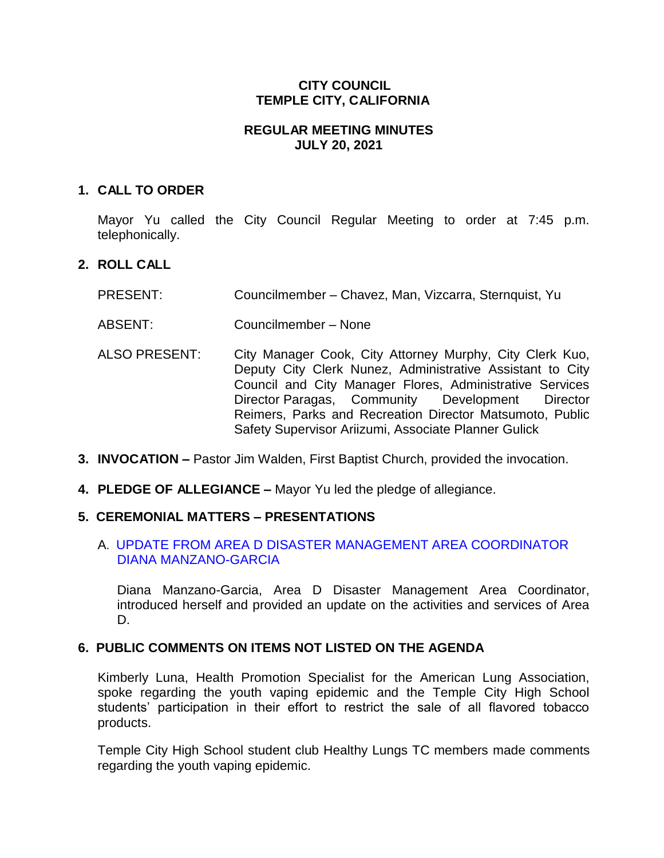## **CITY COUNCIL TEMPLE CITY, CALIFORNIA**

### **REGULAR MEETING MINUTES JULY 20, 2021**

### **1. CALL TO ORDER**

Mayor Yu called the City Council Regular Meeting to order at 7:45 p.m. telephonically.

## **2. ROLL CALL**

- PRESENT: Councilmember Chavez, Man, Vizcarra, Sternquist, Yu
- ABSENT: Councilmember None
- ALSO PRESENT: City Manager Cook, City Attorney Murphy, City Clerk Kuo, Deputy City Clerk Nunez, Administrative Assistant to City Council and City Manager Flores, Administrative Services Director Paragas, Community Development Director Reimers, Parks and Recreation Director Matsumoto, Public Safety Supervisor Ariizumi, Associate Planner Gulick
- **3. INVOCATION –** Pastor Jim Walden, First Baptist Church, provided the invocation.
- **4. PLEDGE OF ALLEGIANCE –** Mayor Yu led the pledge of allegiance.

# **5. CEREMONIAL MATTERS – PRESENTATIONS**

## A. UPDATE FROM AREA D [DISASTER MANAGEMENT AREA COORDINATOR](https://www.ci.temple-city.ca.us/DocumentCenter/View/16513/02_5A_Presentation_Area-D-72021)  [DIANA MANZANO-GARCIA](https://www.ci.temple-city.ca.us/DocumentCenter/View/16513/02_5A_Presentation_Area-D-72021)

Diana Manzano-Garcia, Area D Disaster Management Area Coordinator, introduced herself and provided an update on the activities and services of Area D.

# **6. PUBLIC COMMENTS ON ITEMS NOT LISTED ON THE AGENDA**

Kimberly Luna, Health Promotion Specialist for the American Lung Association, spoke regarding the youth vaping epidemic and the Temple City High School students' participation in their effort to restrict the sale of all flavored tobacco products.

Temple City High School student club Healthy Lungs TC members made comments regarding the youth vaping epidemic.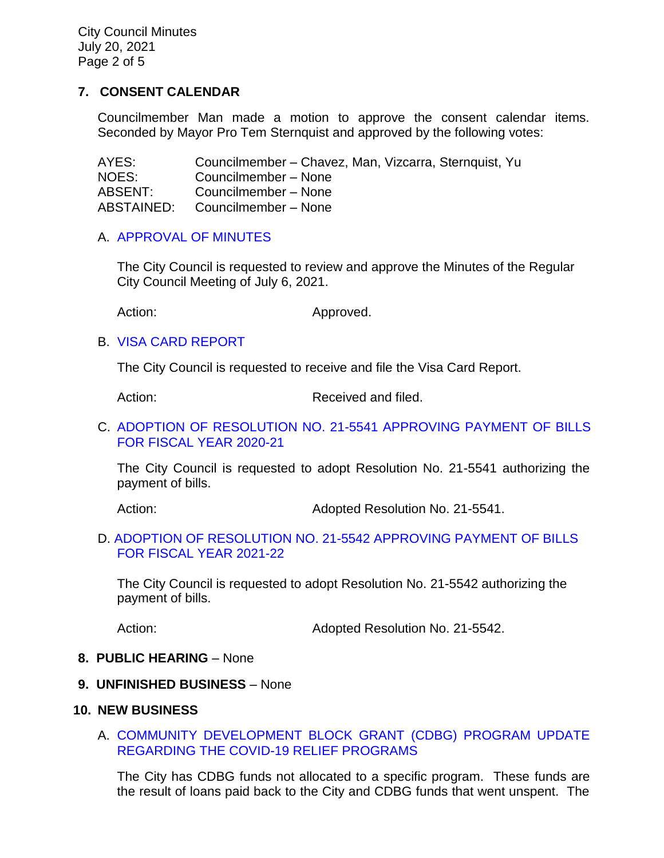City Council Minutes July 20, 2021 Page 2 of 5

### **7. CONSENT CALENDAR**

Councilmember Man made a motion to approve the consent calendar items. Seconded by Mayor Pro Tem Sternquist and approved by the following votes:

AYES: Councilmember – Chavez, Man, Vizcarra, Sternquist, Yu NOES: Councilmember – None ABSENT: Councilmember – None ABSTAINED: Councilmember – None

#### A. [APPROVAL OF MINUTES](https://www.ci.temple-city.ca.us/DocumentCenter/View/16514/03_7A_CCM---2021-07-06)

The City Council is requested to review and approve the Minutes of the Regular City Council Meeting of July 6, 2021.

Action: Approved.

#### B. [VISA CARD](https://www.ci.temple-city.ca.us/DocumentCenter/View/16515/04_7B_Visa-Card-Report_Staff-Report0001) REPORT

The City Council is requested to receive and file the Visa Card Report.

Action: Received and filed.

C. [ADOPTION OF RESOLUTION NO. 21-5541](https://www.ci.temple-city.ca.us/DocumentCenter/View/16516/05_7C_CC-Warrant-FY-2020-21_Reso-21-5541) APPROVING PAYMENT OF BILLS [FOR FISCAL YEAR 2020-21](https://www.ci.temple-city.ca.us/DocumentCenter/View/16516/05_7C_CC-Warrant-FY-2020-21_Reso-21-5541)

The City Council is requested to adopt Resolution No. 21-5541 authorizing the payment of bills.

Action: Adopted Resolution No. 21-5541.

#### D. [ADOPTION OF RESOLUTION NO. 21-5542 APPROVING PAYMENT OF BILLS](https://www.ci.temple-city.ca.us/DocumentCenter/View/16517/06_7D_CC-Warrant-FY-2021-22_Reso-21-5542)  [FOR FISCAL YEAR 2021-22](https://www.ci.temple-city.ca.us/DocumentCenter/View/16517/06_7D_CC-Warrant-FY-2021-22_Reso-21-5542)

The City Council is requested to adopt Resolution No. 21-5542 authorizing the payment of bills.

Action: **Adopted Resolution No. 21-5542.** 

#### **8. PUBLIC HEARING** – None

### **9. UNFINISHED BUSINESS** – None

#### **10. NEW BUSINESS**

#### A. [COMMUNITY DEVELOPMENT BLOCK GRANT \(CDBG\) PROGRAM UPDATE](https://www.ci.temple-city.ca.us/DocumentCenter/View/16518/07_10A_CC-Staff-Report-CDBG-COVID-19-Programs-Updates-07202021_v4)  [REGARDING THE COVID-19 RELIEF PROGRAMS](https://www.ci.temple-city.ca.us/DocumentCenter/View/16518/07_10A_CC-Staff-Report-CDBG-COVID-19-Programs-Updates-07202021_v4)

The City has CDBG funds not allocated to a specific program. These funds are the result of loans paid back to the City and CDBG funds that went unspent. The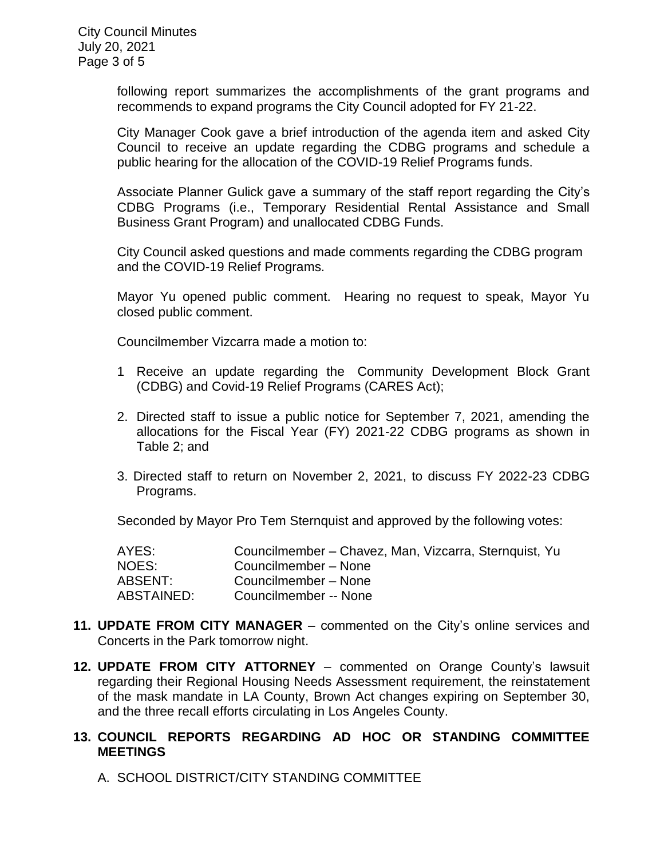following report summarizes the accomplishments of the grant programs and recommends to expand programs the City Council adopted for FY 21-22.

City Manager Cook gave a brief introduction of the agenda item and asked City Council to receive an update regarding the CDBG programs and schedule a public hearing for the allocation of the COVID-19 Relief Programs funds.

Associate Planner Gulick gave a summary of the staff report regarding the City's CDBG Programs (i.e., Temporary Residential Rental Assistance and Small Business Grant Program) and unallocated CDBG Funds.

City Council asked questions and made comments regarding the CDBG program and the COVID-19 Relief Programs.

Mayor Yu opened public comment. Hearing no request to speak, Mayor Yu closed public comment.

Councilmember Vizcarra made a motion to:

- 1 Receive an update regarding the Community Development Block Grant (CDBG) and Covid-19 Relief Programs (CARES Act);
- 2. Directed staff to issue a public notice for September 7, 2021, amending the allocations for the Fiscal Year (FY) 2021-22 CDBG programs as shown in Table 2; and
- 3. Directed staff to return on November 2, 2021, to discuss FY 2022-23 CDBG Programs.

Seconded by Mayor Pro Tem Sternquist and approved by the following votes:

| AYES:      | Councilmember - Chavez, Man, Vizcarra, Sternquist, Yu |
|------------|-------------------------------------------------------|
| NOES:      | Councilmember - None                                  |
| ABSENT:    | Councilmember - None                                  |
| ABSTAINED: | Councilmember -- None                                 |

- **11. UPDATE FROM CITY MANAGER** commented on the City's online services and Concerts in the Park tomorrow night.
- **12. UPDATE FROM CITY ATTORNEY**  commented on Orange County's lawsuit regarding their Regional Housing Needs Assessment requirement, the reinstatement of the mask mandate in LA County, Brown Act changes expiring on September 30, and the three recall efforts circulating in Los Angeles County.

### **13. COUNCIL REPORTS REGARDING AD HOC OR STANDING COMMITTEE MEETINGS**

A. SCHOOL DISTRICT/CITY STANDING COMMITTEE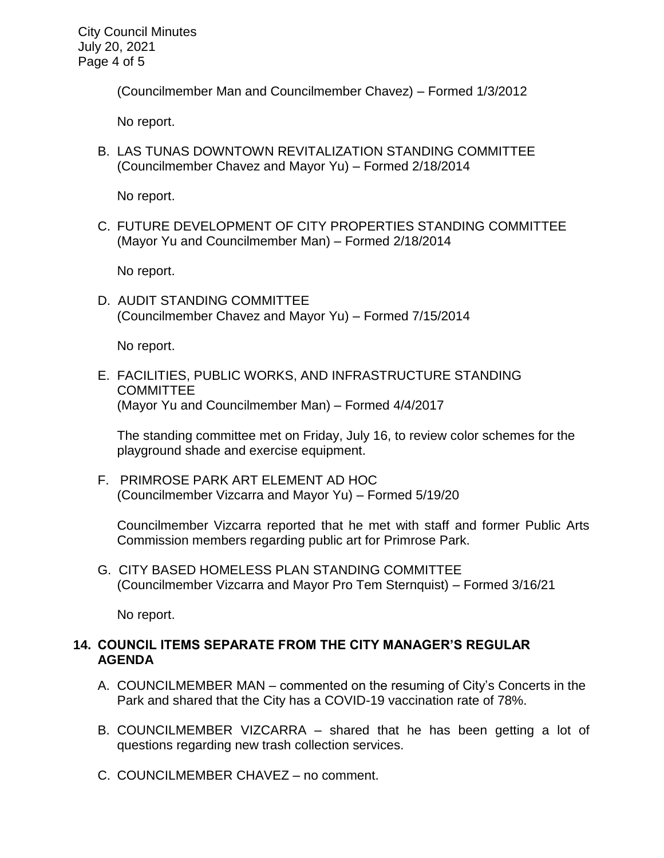City Council Minutes July 20, 2021 Page 4 of 5

(Councilmember Man and Councilmember Chavez) – Formed 1/3/2012

No report.

B. LAS TUNAS DOWNTOWN REVITALIZATION STANDING COMMITTEE (Councilmember Chavez and Mayor Yu) – Formed 2/18/2014

No report.

C. FUTURE DEVELOPMENT OF CITY PROPERTIES STANDING COMMITTEE (Mayor Yu and Councilmember Man) – Formed 2/18/2014

No report.

D. AUDIT STANDING COMMITTEE (Councilmember Chavez and Mayor Yu) – Formed 7/15/2014

No report.

E. FACILITIES, PUBLIC WORKS, AND INFRASTRUCTURE STANDING **COMMITTEE** (Mayor Yu and Councilmember Man) – Formed 4/4/2017

The standing committee met on Friday, July 16, to review color schemes for the playground shade and exercise equipment.

F. PRIMROSE PARK ART ELEMENT AD HOC (Councilmember Vizcarra and Mayor Yu) – Formed 5/19/20

Councilmember Vizcarra reported that he met with staff and former Public Arts Commission members regarding public art for Primrose Park.

G. CITY BASED HOMELESS PLAN STANDING COMMITTEE (Councilmember Vizcarra and Mayor Pro Tem Sternquist) – Formed 3/16/21

No report.

## **14. COUNCIL ITEMS SEPARATE FROM THE CITY MANAGER'S REGULAR AGENDA**

- A. COUNCILMEMBER MAN commented on the resuming of City's Concerts in the Park and shared that the City has a COVID-19 vaccination rate of 78%.
- B. COUNCILMEMBER VIZCARRA shared that he has been getting a lot of questions regarding new trash collection services.
- C. COUNCILMEMBER CHAVEZ no comment.